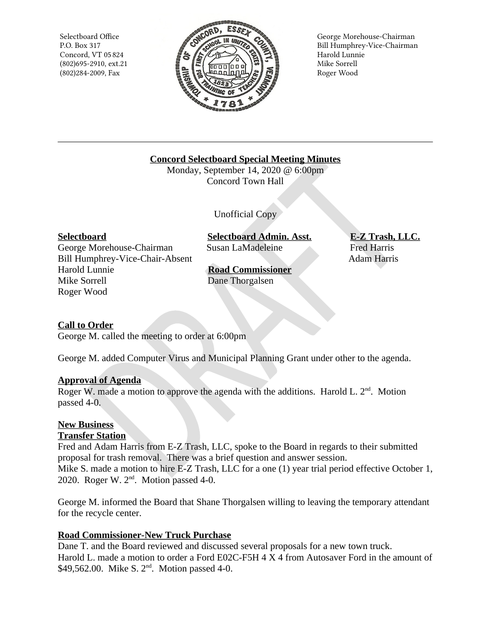Selectboard Office P.O. Box 317 Concord, VT 05 824  $(802)695 - 2910$ , ext.21 (802)284-2009, Fax



George Morehouse-Chairman Bill Humphrey-Vice-Chairman Harold Lunnie Mike Sorrell Roger Wood

**Concord Selectboard Special Meeting Minutes** 

Monday, September 14, 2020 @ 6:00pm **Concord Town Hall** 

Unofficial Copy

## **Selectboard**

George Morehouse-Chairman Bill Humphrey-Vice-Chair-Absent Harold Lunnie Mike Sorrell Roger Wood

**Selectboard Admin. Asst.** Susan LaMadeleine

**Road Commissioner** Dane Thorgalsen

E-Z Trash, LLC. **Fred Harris** Adam Harris

# **Call to Order**

George M. called the meeting to order at 6:00pm

George M. added Computer Virus and Municipal Planning Grant under other to the agenda.

## **Approval of Agenda**

Roger W. made a motion to approve the agenda with the additions. Harold L.  $2<sup>nd</sup>$ . Motion passed 4-0.

## **New Business**

## **Transfer Station**

Fred and Adam Harris from E-Z Trash, LLC, spoke to the Board in regards to their submitted proposal for trash removal. There was a brief question and answer session. Mike S. made a motion to hire E-Z Trash, LLC for a one (1) year trial period effective October 1, 2020. Roger W. 2<sup>nd</sup>. Motion passed 4-0.

George M. informed the Board that Shane Thorgalsen willing to leaving the temporary attendant for the recycle center.

# **Road Commissioner-New Truck Purchase**

Dane T. and the Board reviewed and discussed several proposals for a new town truck. Harold L. made a motion to order a Ford E02C-F5H 4 X 4 from Autosaver Ford in the amount of \$49,562.00. Mike S. 2<sup>nd</sup>. Motion passed 4-0.